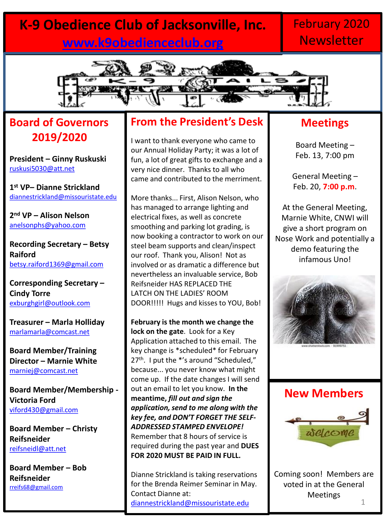### **K-9 Obedience Club of Jacksonville, Inc. [www.k9obedienceclub.org](http://www.k9obedienceclub.org/)**

### February 2020 **Newsletter**



### **Board of Governors 2019/2020**

**President – Ginny Ruskuski** [ruskusi5030@att.net](mailto:ruskusi5030@att.net)

**1 st VP– Dianne Strickland** [diannestrickland@missouristate.edu](mailto:diannestrickland@missouristate.edu)

**2 nd VP – Alison Nelson** [anelsonphs@yahoo.com](mailto:anelsonphs@yahoo.com)

**Recording Secretary – Betsy Raiford** [betsy.raiford1369@gmail.com](mailto:betsy.raiford1369@gmail.com)

**Corresponding Secretary – Cindy Torre** [exburghgirl@outlook.com](mailto:exburghgirl@outlook.com)

**Treasurer – Marla Holliday** [marlamarla@comcast.net](mailto:marlamarla@comcast.net)

**Board Member/Training Director – Marnie White**  [marniej@comcast.net](mailto:marniej@comcast.net)

**Board Member/Membership - Victoria Ford** [viford430@gmail.com](mailto:viford430@gmail.com)

**Board Member – Christy Reifsneider** [reifsneidl@att.net](mailto:reifsneidl@att.net)

**Board Member – Bob Reifsneider** [rreifs68@gmail.com](mailto:rreifs68@gmail.com)

#### **From the President's Desk**

I want to thank everyone who came to our Annual Holiday Party; it was a lot of fun, a lot of great gifts to exchange and a very nice dinner. Thanks to all who came and contributed to the merriment.

More thanks... First, Alison Nelson, who has managed to arrange lighting and electrical fixes, as well as concrete smoothing and parking lot grading, is now booking a contractor to work on our steel beam supports and clean/inspect our roof. Thank you, Alison! Not as involved or as dramatic a difference but nevertheless an invaluable service, Bob Reifsneider HAS REPLACED THE LATCH ON THE LADIES' ROOM DOOR!!!!! Hugs and kisses to YOU, Bob!

**February is the month we change the lock on the gate**. Look for a Key Application attached to this email. The key change is \*scheduled\* for February 27<sup>th</sup>. I put the \*'s around "Scheduled," because... you never know what might come up. If the date changes I will send out an email to let you know. **In the meantime,** *fill out and sign the application, send to me along with the key fee, and DON'T FORGET THE SELF-ADDRESSED STAMPED ENVELOPE!* Remember that 8 hours of service is required during the past year and **DUES FOR 2020 MUST BE PAID IN FULL.**

Dianne Strickland is taking reservations for the Brenda Reimer Seminar in May. Contact Dianne at: [diannestrickland@missouristate.edu](mailto:diannestrickland@missouristate.edu) 1

#### **Meetings**

Board Meeting – Feb. 13, 7:00 pm

General Meeting – Feb. 20, **7:00 p.m**.

At the General Meeting, Marnie White, CNWI will give a short program on Nose Work and potentially a demo featuring the infamous Uno!



#### **New Members**



Coming soon! Members are voted in at the General Meetings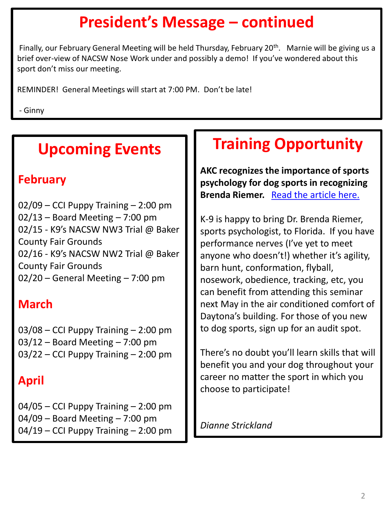# **President's Message – continued**

Finally, our February General Meeting will be held Thursday, February 20<sup>th</sup>. Marnie will be giving us a brief over-view of NACSW Nose Work under and possibly a demo! If you've wondered about this sport don't miss our meeting.

REMINDER! General Meetings will start at 7:00 PM. Don't be late!

- Ginny

## **Upcoming Events**

#### **February**

02/09 – CCI Puppy Training – 2:00 pm  $02/13$  – Board Meeting – 7:00 pm 02/15 - K9's NACSW NW3 Trial @ Baker County Fair Grounds 02/16 - K9's NACSW NW2 Trial @ Baker County Fair Grounds 02/20 – General Meeting – 7:00 pm

### **March**

03/08 – CCI Puppy Training – 2:00 pm 03/12 – Board Meeting – 7:00 pm 03/22 – CCI Puppy Training – 2:00 pm

### **April**

 $04/05$  – CCI Puppy Training – 2:00 pm 04/09 – Board Meeting – 7:00 pm 04/19 – CCI Puppy Training – 2:00 pm

## **Training Opportunity**

**AKC recognizes the importance of sports psychology for dog sports in recognizing Brenda Riemer.** [Read the article here.](https://www.akc.org/expert-advice/training/dog-sport-psychology-an-alternative-approach/)

K-9 is happy to bring Dr. Brenda Riemer, sports psychologist, to Florida. If you have performance nerves (I've yet to meet anyone who doesn't!) whether it's agility, barn hunt, conformation, flyball, nosework, obedience, tracking, etc, you can benefit from attending this seminar next May in the air conditioned comfort of Daytona's building. For those of you new to dog sports, sign up for an audit spot.

There's no doubt you'll learn skills that will benefit you and your dog throughout your career no matter the sport in which you choose to participate!

*Dianne Strickland*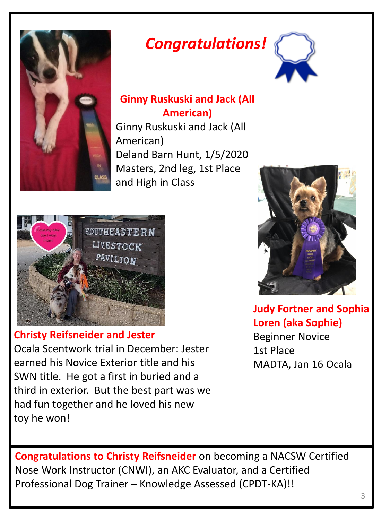

## *Congratulations!*



#### **Ginny Ruskuski and Jack (All American)**

Ginny Ruskuski and Jack (All American) Deland Barn Hunt, 1/5/2020 Masters, 2nd leg, 1st Place and High in Class



**Christy Reifsneider and Jester** Ocala Scentwork trial in December: Jester earned his Novice Exterior title and his SWN title. He got a first in buried and a third in exterior. But the best part was we had fun together and he loved his new toy he won!



**Judy Fortner and Sophia Loren (aka Sophie)** Beginner Novice 1st Place MADTA, Jan 16 Ocala

**Congratulations to Christy Reifsneider** on becoming a NACSW Certified Nose Work Instructor (CNWI), an AKC Evaluator, and a Certified Professional Dog Trainer – Knowledge Assessed (CPDT-KA)!!